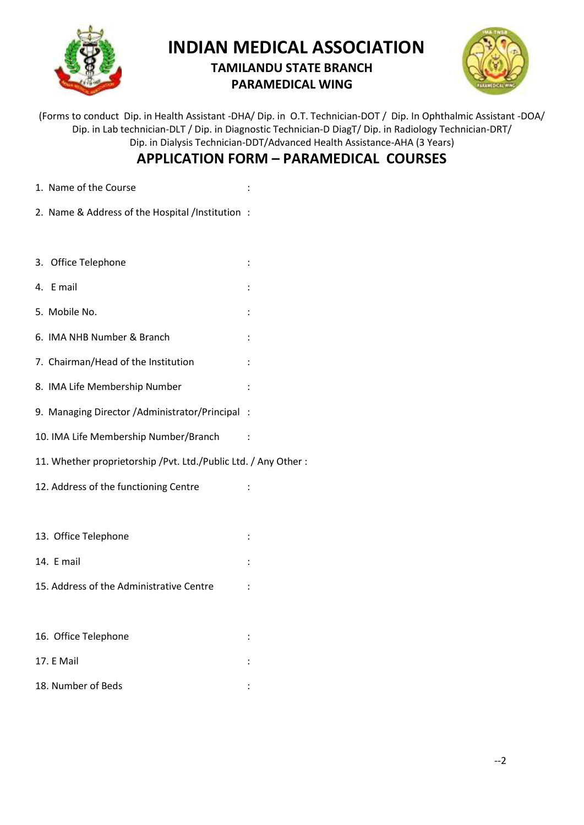

## **INDIAN MEDICAL ASSOCIATION**

## **TAMILANDU STATE BRANCH PARAMEDICAL WING**



(Forms to conduct Dip. in Health Assistant -DHA/ Dip. in O.T. Technician-DOT / Dip. In Ophthalmic Assistant -DOA/ Dip. in Lab technician-DLT / Dip. in Diagnostic Technician-D DiagT/ Dip. in Radiology Technician-DRT/ Dip. in Dialysis Technician-DDT/Advanced Health Assistance-AHA (3 Years)

## **APPLICATION FORM – PARAMEDICAL COURSES**

- 1. Name of the Course in the course in the set of the Course in the set of the set of the set of the set of the set of the set of the set of the set of the set of the set of the set of the set of the set of the set of the
- 2. Name & Address of the Hospital /Institution :
- 3. Office Telephone :
- 4. E mail :
- 5. Mobile No. :
- 6. IMA NHB Number & Branch :
- 7. Chairman/Head of the Institution :
- 8. IMA Life Membership Number :
- 9. Managing Director /Administrator/Principal :
- 10. IMA Life Membership Number/Branch :
- 11. Whether proprietorship /Pvt. Ltd./Public Ltd. / Any Other :
- 12. Address of the functioning Centre :
- 13. Office Telephone : the state of the state of the state of the state of the state of the state of the state of the state of the state of the state of the state of the state of the state of the state of the state of the
- 14. E mail :
- 15. Address of the Administrative Centre :

| 16. Office Telephone | ٠ |
|----------------------|---|
| 17. E Mail           |   |
| 18. Number of Beds   |   |